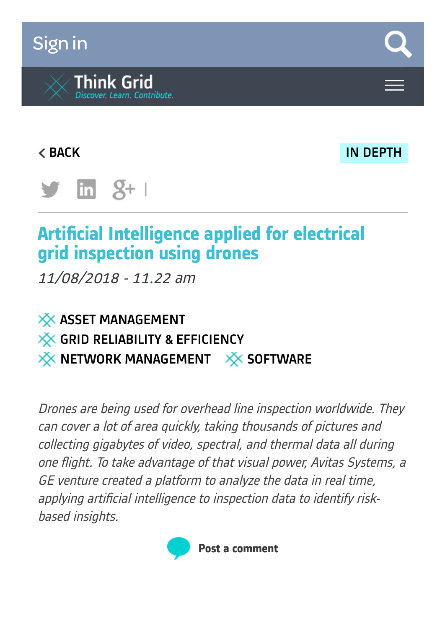# [Sign](https://www.think-grid.org/user/login) in



[BACK](https://www.think-grid.org/artificial-intelligence-applied-electrical-grid-inspection-using-drones?display=all) IN [DEPTH](https://www.think-grid.org/list/in-depth)



# **Artificial Intelligence applied for electrical grid inspection using drones**

11/08/2018 - 11.22 am

### $\times$  ASSET [MANAGEMENT](https://www.think-grid.org/tags/asset-management) **XX GRID [RELIABILITY](https://www.think-grid.org/tags/grid-reliability-efficiency) & EFFICIENCY**  $\frac{1}{2}$  NETWORK [MANAGEMENT](https://www.think-grid.org/tags/network-management)  $\frac{1}{2}$  [SOFTWARE](https://www.think-grid.org/tags/software-0)

Drones are being used for overhead line inspection worldwide. They can cover <sup>a</sup> lot of area quickly, taking thousands of pictures and collecting gigabytes of video, spectral, and thermal data all during one flight. To take advantage of that visual power, Avitas Systems, a GE venture created <sup>a</sup> platform to analyze the data in real time, applying artificial intelligence to inspection data to identify riskbased insights.

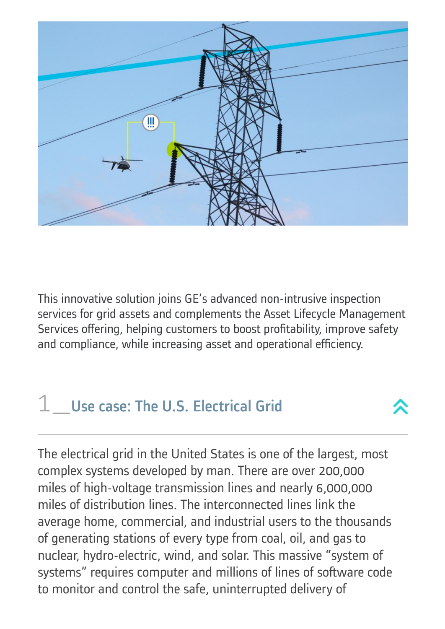

This innovative solution joins GE's advanced non-intrusive inspection services for grid assets and complements the Asset Lifecycle Management Services offering, helping customers to boost profitability, improve safety and compliance, while increasing asset and operational efficiency.

# $1$  Use case: The U.S. Electrical Grid

The electrical grid in the United States is one of the largest, most complex systems developed by man. There are over 200,000 miles of high-voltage transmission lines and nearly 6,000,000 miles of distribution lines. The interconnected lines link the average home, commercial, and industrial users to the thousands of generating stations of every type from coal, oil, and gas to nuclear, hydro-electric, wind, and solar. This massive "system of systems" requires computer and millions of lines of software code to monitor and control the safe, uninterrupted delivery of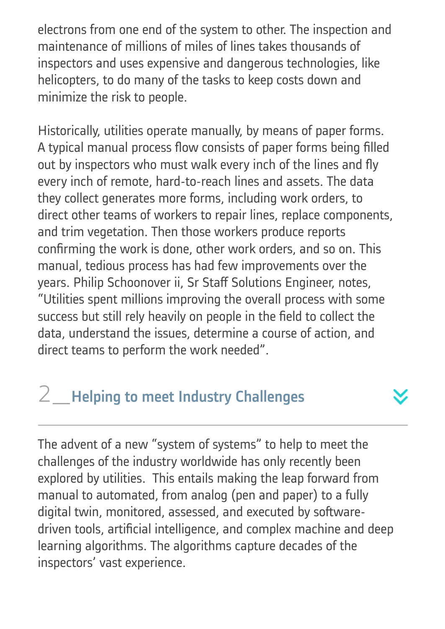electrons from one end of the system to other. The inspection and maintenance of millions of miles of lines takes thousands of inspectors and uses expensive and dangerous technologies, like helicopters, to do many of the tasks to keep costs down and minimize the risk to people.

Historically, utilities operate manually, by means of paper forms. A typical manual process flow consists of paper forms being filled out by inspectors who must walk every inch of the lines and fly every inch of remote, hard-to-reach lines and assets. The data they collect generates more forms, including work orders, to direct other teams of workers to repair lines, replace components, and trim vegetation. Then those workers produce reports confirming the work is done, other work orders, and so on. This manual, tedious process has had few improvements over the years. Philip Schoonover ii, Sr Staff Solutions Engineer, notes, "Utilities spent millions improving the overall process with some success but still rely heavily on people in the field to collect the data, understand the issues, determine a course of action, and direct teams to perform the work needed".

# 2 Helping to meet Industry Challenges

The advent of a new "system of systems" to help to meet the challenges of the industry worldwide has only recently been explored by utilities. This entails making the leap forward from manual to automated, from analog (pen and paper) to a fully digital twin, monitored, assessed, and executed by softwaredriven tools, artificial intelligence, and complex machine and deep learning algorithms. The algorithms capture decades of the inspectors' vast experience.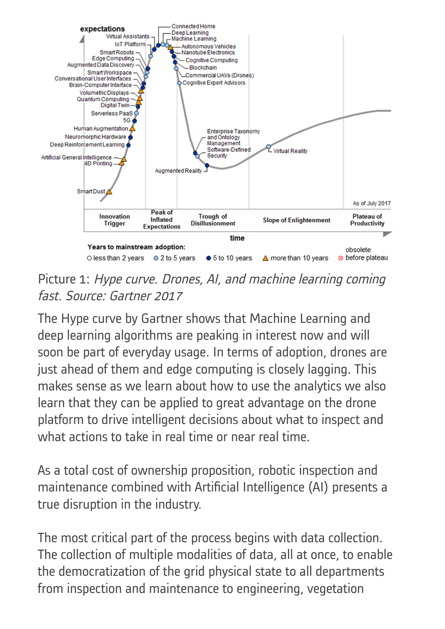

Picture 1: Hype curve. Drones, AI, and machine learning coming fast. Source: Gartner 2017

The Hype curve by Gartner shows that Machine Learning and deep learning algorithms are peaking in interest now and will soon be part of everyday usage. In terms of adoption, drones are just ahead of them and edge computing is closely lagging. This makes sense as we learn about how to use the analytics we also learn that they can be applied to great advantage on the drone platform to drive intelligent decisions about what to inspect and what actions to take in real time or near real time.

As a total cost of ownership proposition, robotic inspection and maintenance combined with Artificial Intelligence (AI) presents a true disruption in the industry.

The most critical part of the process begins with data collection. The collection of multiple modalities of data, all at once, to enable the democratization of the grid physical state to all departments from inspection and maintenance to engineering, vegetation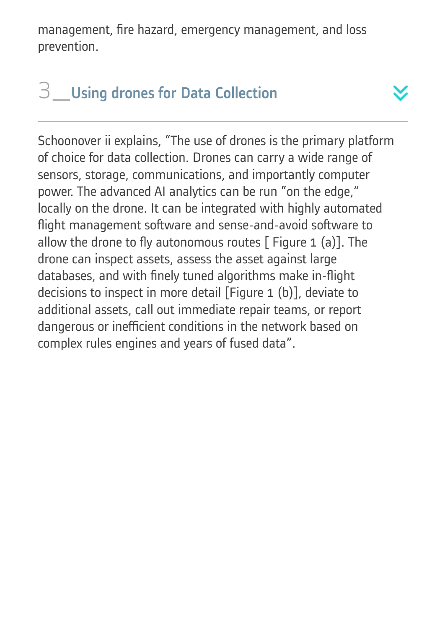management, fire hazard, emergency management, and loss prevention.

## 3\_Using drones for Data Collection

Schoonover ii explains, "The use of drones is the primary platform of choice for data collection. Drones can carry a wide range of sensors, storage, communications, and importantly computer power. The advanced AI analytics can be run "on the edge," locally on the drone. It can be integrated with highly automated flight management software and sense-and-avoid software to allow the drone to fly autonomous routes  $\lceil$  Figure 1 (a)]. The drone can inspect assets, assess the asset against large databases, and with finely tuned algorithms make in-flight decisions to inspect in more detail [Figure 1 (b)], deviate to additional assets, call out immediate repair teams, or report dangerous or inefficient conditions in the network based on complex rules engines and years of fused data".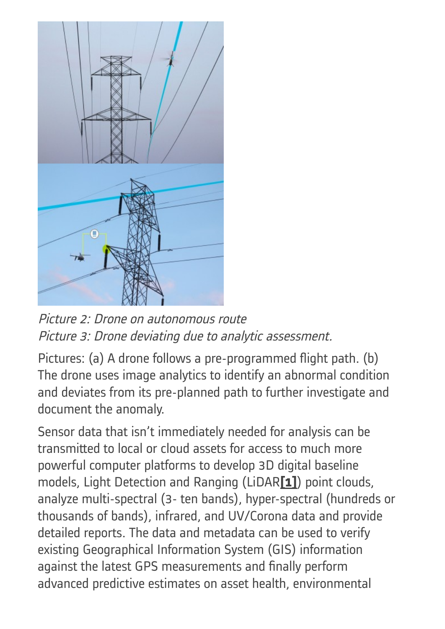

Picture 2: Drone on autonomous route Picture 3: Drone deviating due to analytic assessment.

Pictures: (a) A drone follows a pre-programmed flight path. (b) The drone uses image analytics to identify an abnormal condition and deviates from its pre-planned path to further investigate and document the anomaly.

<span id="page-5-0"></span>Sensor data that isn't immediately needed for analysis can be transmitted to local or cloud assets for access to much more powerful computer platforms to develop 3D digital baseline models, Light Detection and Ranging (LiDAR**[\[1\]](#page-7-0)**) point clouds, analyze multi-spectral (3- ten bands), hyper-spectral (hundreds or thousands of bands), infrared, and UV/Corona data and provide detailed reports. The data and metadata can be used to verify existing Geographical Information System (GIS) information against the latest GPS measurements and finally perform advanced predictive estimates on asset health, environmental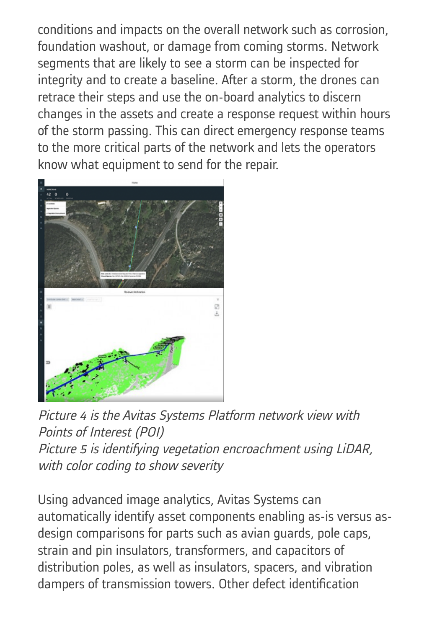conditions and impacts on the overall network such as corrosion, foundation washout, or damage from coming storms. Network segments that are likely to see a storm can be inspected for integrity and to create a baseline. After a storm, the drones can retrace their steps and use the on-board analytics to discern changes in the assets and create a response request within hours of the storm passing. This can direct emergency response teams to the more critical parts of the network and lets the operators know what equipment to send for the repair.



Picture <sup>4</sup> is the Avitas Systems Platform network view with Points of Interest (POI) Picture <sup>5</sup> is identifying vegetation encroachment using LiDAR, with color coding to show severity

Using advanced image analytics, Avitas Systems can automatically identify asset components enabling as-is versus asdesign comparisons for parts such as avian guards, pole caps, strain and pin insulators, transformers, and capacitors of distribution poles, as well as insulators, spacers, and vibration dampers of transmission towers. Other defect identification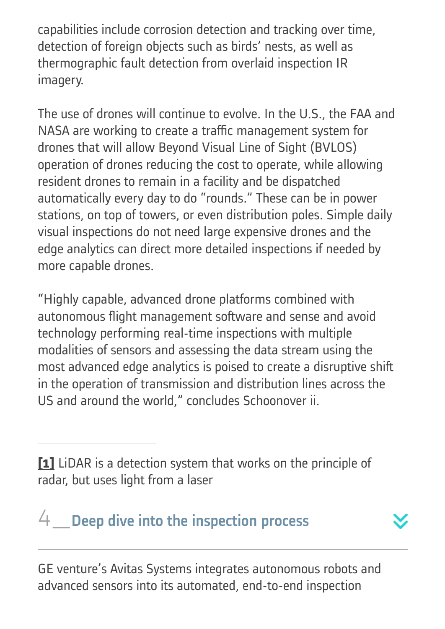capabilities include corrosion detection and tracking over time, detection of foreign objects such as birds' nests, as well as thermographic fault detection from overlaid inspection IR imagery.

The use of drones will continue to evolve. In the U.S., the FAA and NASA are working to create a traffic management system for drones that will allow Beyond Visual Line of Sight (BVLOS) operation of drones reducing the cost to operate, while allowing resident drones to remain in a facility and be dispatched automatically every day to do "rounds." These can be in power stations, on top of towers, or even distribution poles. Simple daily visual inspections do not need large expensive drones and the edge analytics can direct more detailed inspections if needed by more capable drones.

"Highly capable, advanced drone platforms combined with autonomous flight management software and sense and avoid technology performing real-time inspections with multiple modalities of sensors and assessing the data stream using the most advanced edge analytics is poised to create a disruptive shift in the operation of transmission and distribution lines across the US and around the world," concludes Schoonover ii.

<span id="page-7-0"></span>**[\[1\]](#page-5-0)** LiDAR is a detection system that works on the principle of radar, but uses light from a laser

## $4$  Deep dive into the inspection process

GE venture's Avitas Systems integrates autonomous robots and advanced sensors into its automated, end-to-end inspection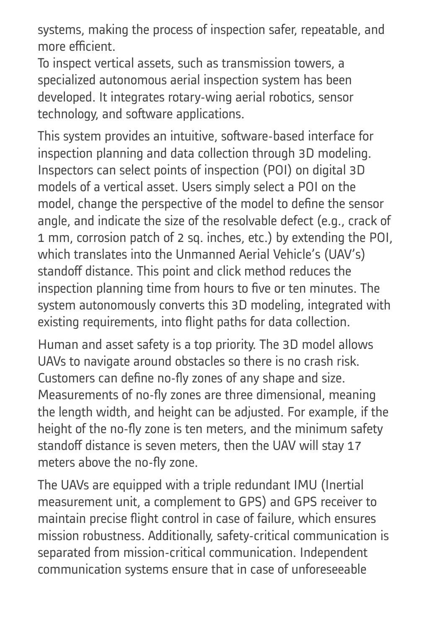systems, making the process of inspection safer, repeatable, and more efficient.

To inspect vertical assets, such as transmission towers, a specialized autonomous aerial inspection system has been developed. It integrates rotary-wing aerial robotics, sensor technology, and software applications.

This system provides an intuitive, software-based interface for inspection planning and data collection through 3D modeling. Inspectors can select points of inspection (POI) on digital 3D models of a vertical asset. Users simply select a POI on the model, change the perspective of the model to define the sensor angle, and indicate the size of the resolvable defect (e.g., crack of 1 mm, corrosion patch of 2 sq. inches, etc.) by extending the POI, which translates into the Unmanned Aerial Vehicle's (UAV's) standoff distance. This point and click method reduces the inspection planning time from hours to five or ten minutes. The system autonomously converts this 3D modeling, integrated with existing requirements, into flight paths for data collection.

Human and asset safety is a top priority. The 3D model allows UAVs to navigate around obstacles so there is no crash risk. Customers can define no-fly zones of any shape and size. Measurements of no-fly zones are three dimensional, meaning the length width, and height can be adjusted. For example, if the height of the no-fly zone is ten meters, and the minimum safety standoff distance is seven meters, then the UAV will stay 17 meters above the no-fly zone.

The UAVs are equipped with a triple redundant IMU (Inertial measurement unit, a complement to GPS) and GPS receiver to maintain precise flight control in case of failure, which ensures mission robustness. Additionally, safety-critical communication is separated from mission-critical communication. Independent communication systems ensure that in case of unforeseeable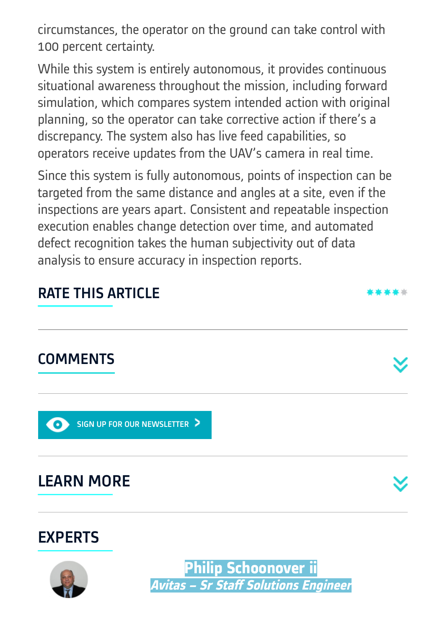circumstances, the operator on the ground can take control with 100 percent certainty.

While this system is entirely autonomous, it provides continuous situational awareness throughout the mission, including forward simulation, which compares system intended action with original planning, so the operator can take corrective action if there's a discrepancy. The system also has live feed capabilities, so operators receive updates from the UAV's camera in real time.

Since this system is fully autonomous, points of inspection can be targeted from the same distance and angles at a site, even if the inspections are years apart. Consistent and repeatable inspection execution enables change detection over time, and automated defect recognition takes the human subjectivity out of data analysis to ensure accuracy in inspection reports.

#### RATE THIS ARTICLE

#### **COMMENTS**

SIGN UP FOR OUR [NEWSLETTER](https://www.think-grid.org/user/login) >

LEARN MORE





**Philip Schoonover ii Avitas – Sr Staff Solutions Engineer**